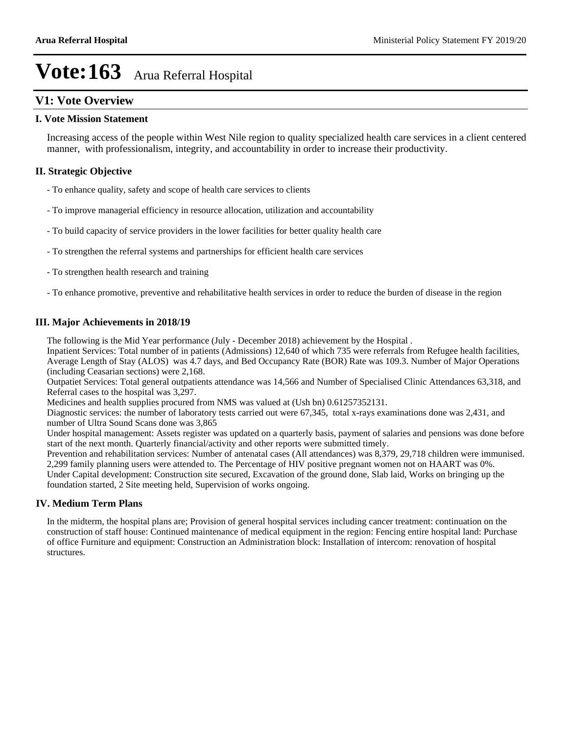### **V1: Vote Overview**

### **I. Vote Mission Statement**

Increasing access of the people within West Nile region to quality specialized health care services in a client centered manner, with professionalism, integrity, and accountability in order to increase their productivity.

### **II. Strategic Objective**

- To enhance quality, safety and scope of health care services to clients
- To improve managerial efficiency in resource allocation, utilization and accountability
- To build capacity of service providers in the lower facilities for better quality health care
- To strengthen the referral systems and partnerships for efficient health care services
- To strengthen health research and training
- To enhance promotive, preventive and rehabilitative health services in order to reduce the burden of disease in the region

### **III. Major Achievements in 2018/19**

The following is the Mid Year performance (July - December 2018) achievement by the Hospital .

Inpatient Services: Total number of in patients (Admissions) 12,640 of which 735 were referrals from Refugee health facilities, Average Length of Stay (ALOS) was 4.7 days, and Bed Occupancy Rate (BOR) Rate was 109.3. Number of Major Operations (including Ceasarian sections) were 2,168.

Outpatiet Services: Total general outpatients attendance was 14,566 and Number of Specialised Clinic Attendances 63,318, and Referral cases to the hospital was 3,297.

Medicines and health supplies procured from NMS was valued at (Ush bn) 0.61257352131.

Diagnostic services: the number of laboratory tests carried out were 67,345, total x-rays examinations done was 2,431, and number of Ultra Sound Scans done was 3,865

Under hospital management: Assets register was updated on a quarterly basis, payment of salaries and pensions was done before start of the next month. Quarterly financial/activity and other reports were submitted timely.

Prevention and rehabilitation services: Number of antenatal cases (All attendances) was 8,379, 29,718 children were immunised. 2,299 family planning users were attended to. The Percentage of HIV positive pregnant women not on HAART was 0%. Under Capital development: Construction site secured, Excavation of the ground done, Slab laid, Works on bringing up the

foundation started, 2 Site meeting held, Supervision of works ongoing.

#### **IV. Medium Term Plans**

In the midterm, the hospital plans are; Provision of general hospital services including cancer treatment: continuation on the construction of staff house: Continued maintenance of medical equipment in the region: Fencing entire hospital land: Purchase of office Furniture and equipment: Construction an Administration block: Installation of intercom: renovation of hospital structures.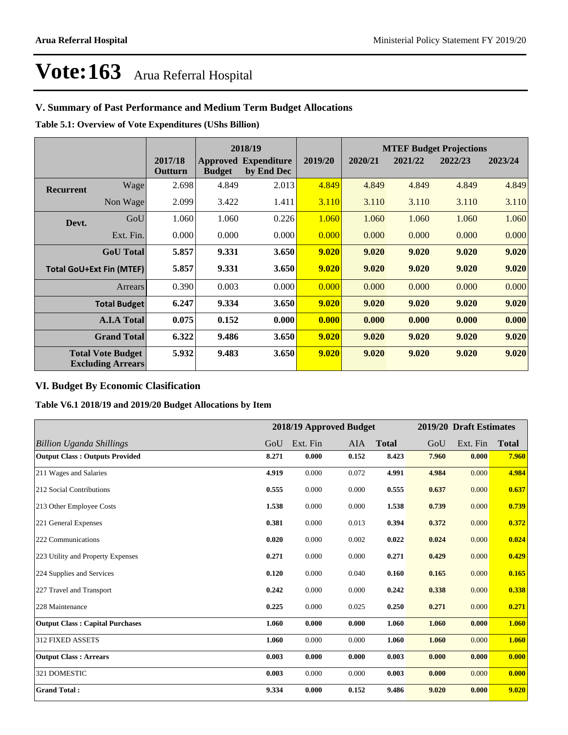### **V. Summary of Past Performance and Medium Term Budget Allocations**

**Table 5.1: Overview of Vote Expenditures (UShs Billion)**

|                  |                                                      |                    | 2018/19       |                                           |         | <b>MTEF Budget Projections</b> |         |         |         |
|------------------|------------------------------------------------------|--------------------|---------------|-------------------------------------------|---------|--------------------------------|---------|---------|---------|
|                  |                                                      | 2017/18<br>Outturn | <b>Budget</b> | <b>Approved Expenditure</b><br>by End Dec | 2019/20 | 2020/21                        | 2021/22 | 2022/23 | 2023/24 |
| <b>Recurrent</b> | Wagel                                                | 2.698              | 4.849         | 2.013                                     | 4.849   | 4.849                          | 4.849   | 4.849   | 4.849   |
|                  | Non Wage                                             | 2.099              | 3.422         | 1.411                                     | 3.110   | 3.110                          | 3.110   | 3.110   | 3.110   |
| Devt.            | GoU                                                  | 1.060              | 1.060         | 0.226                                     | 1.060   | 1.060                          | 1.060   | 1.060   | 1.060   |
|                  | Ext. Fin.                                            | 0.000              | 0.000         | 0.000                                     | 0.000   | 0.000                          | 0.000   | 0.000   | 0.000   |
|                  | <b>GoU</b> Total                                     | 5.857              | 9.331         | 3.650                                     | 9.020   | 9.020                          | 9.020   | 9.020   | 9.020   |
|                  | <b>Total GoU+Ext Fin (MTEF)</b>                      | 5.857              | 9.331         | 3.650                                     | 9.020   | 9.020                          | 9.020   | 9.020   | 9.020   |
|                  | Arrears                                              | 0.390              | 0.003         | 0.000                                     | 0.000   | 0.000                          | 0.000   | 0.000   | 0.000   |
|                  | <b>Total Budget</b>                                  | 6.247              | 9.334         | 3.650                                     | 9.020   | 9.020                          | 9.020   | 9.020   | 9.020   |
|                  | <b>A.I.A Total</b>                                   | 0.075              | 0.152         | 0.000                                     | 0.000   | 0.000                          | 0.000   | 0.000   | 0.000   |
|                  | <b>Grand Total</b>                                   | 6.322              | 9.486         | 3.650                                     | 9.020   | 9.020                          | 9.020   | 9.020   | 9.020   |
|                  | <b>Total Vote Budget</b><br><b>Excluding Arrears</b> | 5.932              | 9.483         | 3.650                                     | 9.020   | 9.020                          | 9.020   | 9.020   | 9.020   |

### **VI. Budget By Economic Clasification**

**Table V6.1 2018/19 and 2019/20 Budget Allocations by Item**

|                                        |       | 2018/19 Approved Budget |       |              |       | 2019/20 Draft Estimates |              |
|----------------------------------------|-------|-------------------------|-------|--------------|-------|-------------------------|--------------|
| Billion Uganda Shillings               | GoU   | Ext. Fin                | AIA   | <b>Total</b> | GoU   | Ext. Fin                | <b>Total</b> |
| <b>Output Class: Outputs Provided</b>  | 8.271 | 0.000                   | 0.152 | 8.423        | 7.960 | 0.000                   | 7.960        |
| 211 Wages and Salaries                 | 4.919 | 0.000                   | 0.072 | 4.991        | 4.984 | 0.000                   | 4.984        |
| 212 Social Contributions               | 0.555 | 0.000                   | 0.000 | 0.555        | 0.637 | 0.000                   | 0.637        |
| 213 Other Employee Costs               | 1.538 | 0.000                   | 0.000 | 1.538        | 0.739 | 0.000                   | 0.739        |
| 221 General Expenses                   | 0.381 | 0.000                   | 0.013 | 0.394        | 0.372 | 0.000                   | 0.372        |
| 222 Communications                     | 0.020 | 0.000                   | 0.002 | 0.022        | 0.024 | 0.000                   | 0.024        |
| 223 Utility and Property Expenses      | 0.271 | 0.000                   | 0.000 | 0.271        | 0.429 | 0.000                   | 0.429        |
| 224 Supplies and Services              | 0.120 | 0.000                   | 0.040 | 0.160        | 0.165 | 0.000                   | 0.165        |
| 227 Travel and Transport               | 0.242 | 0.000                   | 0.000 | 0.242        | 0.338 | 0.000                   | 0.338        |
| 228 Maintenance                        | 0.225 | 0.000                   | 0.025 | 0.250        | 0.271 | 0.000                   | 0.271        |
| <b>Output Class: Capital Purchases</b> | 1.060 | 0.000                   | 0.000 | 1.060        | 1.060 | 0.000                   | 1.060        |
| 312 FIXED ASSETS                       | 1.060 | 0.000                   | 0.000 | 1.060        | 1.060 | 0.000                   | 1.060        |
| <b>Output Class: Arrears</b>           | 0.003 | 0.000                   | 0.000 | 0.003        | 0.000 | 0.000                   | 0.000        |
| 321 DOMESTIC                           | 0.003 | 0.000                   | 0.000 | 0.003        | 0.000 | 0.000                   | 0.000        |
| <b>Grand Total:</b>                    | 9.334 | 0.000                   | 0.152 | 9.486        | 9.020 | 0.000                   | 9.020        |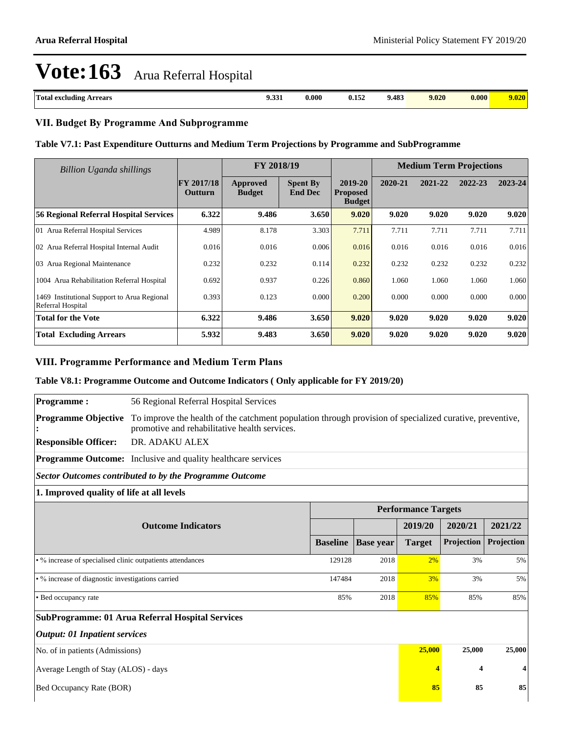| <b>CONTINUES</b><br><br><b>Total</b><br>Arrears<br>l excluding<br>. | $\mathbf{A}$<br>9.331<br>. | 0.000<br>. | $\overline{a}$<br>V.IJ/ | $.48^{\circ}$<br>הסודי | 9.020<br>$\cdot$ $\cdot$ $\cdot$ $\cdot$ | 0.000 | 9.020 |
|---------------------------------------------------------------------|----------------------------|------------|-------------------------|------------------------|------------------------------------------|-------|-------|

### **VII. Budget By Programme And Subprogramme**

#### **Table V7.1: Past Expenditure Outturns and Medium Term Projections by Programme and SubProgramme**

| <b>Billion Uganda shillings</b>                                  |                                     | FY 2018/19                       |                                   | <b>Medium Term Projections</b>              |         |         |         |         |
|------------------------------------------------------------------|-------------------------------------|----------------------------------|-----------------------------------|---------------------------------------------|---------|---------|---------|---------|
|                                                                  | <b>FY 2017/18</b><br><b>Outturn</b> | <b>Approved</b><br><b>Budget</b> | <b>Spent By</b><br><b>End Dec</b> | 2019-20<br><b>Proposed</b><br><b>Budget</b> | 2020-21 | 2021-22 | 2022-23 | 2023-24 |
| <b>56 Regional Referral Hospital Services</b>                    | 6.322                               | 9.486                            | 3.650                             | 9.020                                       | 9.020   | 9.020   | 9.020   | 9.020   |
| 01 Arua Referral Hospital Services                               | 4.989                               | 8.178                            | 3.303                             | 7.711                                       | 7.711   | 7.711   | 7.711   | 7.711   |
| 02 Arua Referral Hospital Internal Audit                         | 0.016                               | 0.016                            | 0.006                             | 0.016                                       | 0.016   | 0.016   | 0.016   | 0.016   |
| 03 Arua Regional Maintenance                                     | 0.232                               | 0.232                            | 0.114                             | 0.232                                       | 0.232   | 0.232   | 0.232   | 0.232   |
| 1004 Arua Rehabilitation Referral Hospital                       | 0.692                               | 0.937                            | 0.226                             | 0.860                                       | 1.060   | 1.060   | 1.060   | 1.060   |
| 1469 Institutional Support to Arua Regional<br>Referral Hospital | 0.393                               | 0.123                            | 0.000                             | 0.200                                       | 0.000   | 0.000   | 0.000   | 0.000   |
| <b>Total for the Vote</b>                                        | 6.322                               | 9.486                            | 3.650                             | 9.020                                       | 9.020   | 9.020   | 9.020   | 9.020   |
| <b>Total Excluding Arrears</b>                                   | 5.932                               | 9.483                            | 3.650                             | 9.020                                       | 9.020   | 9.020   | 9.020   | 9.020   |

### **VIII. Programme Performance and Medium Term Plans**

### **Table V8.1: Programme Outcome and Outcome Indicators ( Only applicable for FY 2019/20)**

| <b>Programme:</b>                                          | 56 Regional Referral Hospital Services                                                                                                                    |                 |                  |                            |                  |            |  |  |
|------------------------------------------------------------|-----------------------------------------------------------------------------------------------------------------------------------------------------------|-----------------|------------------|----------------------------|------------------|------------|--|--|
| <b>Programme Objective</b>                                 | To improve the health of the catchment population through provision of specialized curative, preventive,<br>promotive and rehabilitative health services. |                 |                  |                            |                  |            |  |  |
| <b>Responsible Officer:</b>                                | DR. ADAKU ALEX                                                                                                                                            |                 |                  |                            |                  |            |  |  |
|                                                            | <b>Programme Outcome:</b> Inclusive and quality healthcare services                                                                                       |                 |                  |                            |                  |            |  |  |
|                                                            | <b>Sector Outcomes contributed to by the Programme Outcome</b>                                                                                            |                 |                  |                            |                  |            |  |  |
| 1. Improved quality of life at all levels                  |                                                                                                                                                           |                 |                  |                            |                  |            |  |  |
|                                                            |                                                                                                                                                           |                 |                  | <b>Performance Targets</b> |                  |            |  |  |
|                                                            | <b>Outcome Indicators</b>                                                                                                                                 |                 |                  | 2019/20                    | 2020/21          | 2021/22    |  |  |
|                                                            |                                                                                                                                                           | <b>Baseline</b> | <b>Base year</b> | <b>Target</b>              | Projection       | Projection |  |  |
| • % increase of specialised clinic outpatients attendances |                                                                                                                                                           | 129128          | 2018             | 2%                         | 3%               | 5%         |  |  |
| • % increase of diagnostic investigations carried          |                                                                                                                                                           | 147484          | 2018             | 3%                         | 3%               | 5%         |  |  |
| • Bed occupancy rate                                       |                                                                                                                                                           | 85%             | 2018             | 85%                        | 85%              | 85%        |  |  |
|                                                            | <b>SubProgramme: 01 Arua Referral Hospital Services</b>                                                                                                   |                 |                  |                            |                  |            |  |  |
| <b>Output: 01 Inpatient services</b>                       |                                                                                                                                                           |                 |                  |                            |                  |            |  |  |
| No. of in patients (Admissions)                            |                                                                                                                                                           |                 |                  |                            | 25,000<br>25,000 | 25,000     |  |  |
| Average Length of Stay (ALOS) - days                       |                                                                                                                                                           |                 |                  |                            | 4                |            |  |  |
| Bed Occupancy Rate (BOR)                                   |                                                                                                                                                           |                 |                  |                            | 85               | 85         |  |  |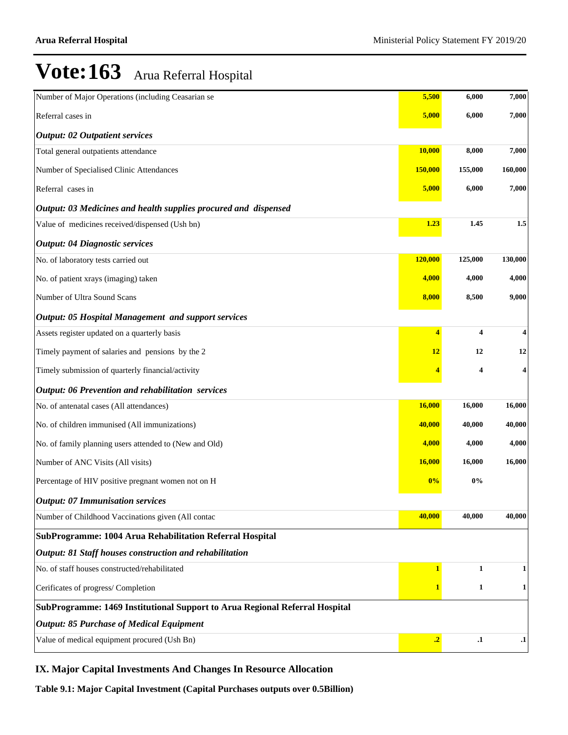| Number of Major Operations (including Ceasarian se                          | 5,500                   | 6,000         | 7,000         |  |  |  |  |
|-----------------------------------------------------------------------------|-------------------------|---------------|---------------|--|--|--|--|
| Referral cases in                                                           | 5,000                   | 6,000         | 7,000         |  |  |  |  |
| <b>Output: 02 Outpatient services</b>                                       |                         |               |               |  |  |  |  |
| Total general outpatients attendance                                        | 10,000                  | 8,000         | 7,000         |  |  |  |  |
| Number of Specialised Clinic Attendances                                    | 150,000                 | 155,000       | 160,000       |  |  |  |  |
| Referral cases in                                                           | 5,000                   | 6,000         | 7,000         |  |  |  |  |
| Output: 03 Medicines and health supplies procured and dispensed             |                         |               |               |  |  |  |  |
| Value of medicines received/dispensed (Ush bn)                              | 1.23                    | 1.45          | 1.5           |  |  |  |  |
| <b>Output: 04 Diagnostic services</b>                                       |                         |               |               |  |  |  |  |
| No. of laboratory tests carried out                                         | 120,000                 | 125,000       | 130,000       |  |  |  |  |
| No. of patient xrays (imaging) taken                                        | 4,000                   | 4,000         | 4,000         |  |  |  |  |
| Number of Ultra Sound Scans                                                 | 8,000                   | 8,500         | 9,000         |  |  |  |  |
| Output: 05 Hospital Management and support services                         |                         |               |               |  |  |  |  |
| Assets register updated on a quarterly basis                                | $\overline{\mathbf{4}}$ | 4             | 4             |  |  |  |  |
| Timely payment of salaries and pensions by the 2                            | 12                      | 12            | 12            |  |  |  |  |
| Timely submission of quarterly financial/activity                           |                         | 4             | 4             |  |  |  |  |
| Output: 06 Prevention and rehabilitation services                           |                         |               |               |  |  |  |  |
| No. of antenatal cases (All attendances)                                    | 16,000                  | 16,000        | 16,000        |  |  |  |  |
| No. of children immunised (All immunizations)                               | 40,000                  | 40,000        | 40,000        |  |  |  |  |
| No. of family planning users attended to (New and Old)                      | 4,000                   | 4,000         | 4,000         |  |  |  |  |
| Number of ANC Visits (All visits)                                           | <b>16,000</b>           | 16,000        | 16,000        |  |  |  |  |
| Percentage of HIV positive pregnant women not on H                          | 0%                      | 0%            |               |  |  |  |  |
| <b>Output: 07 Immunisation services</b>                                     |                         |               |               |  |  |  |  |
| Number of Childhood Vaccinations given (All contac                          | 40,000                  | 40,000        | 40,000        |  |  |  |  |
| SubProgramme: 1004 Arua Rehabilitation Referral Hospital                    |                         |               |               |  |  |  |  |
| Output: 81 Staff houses construction and rehabilitation                     |                         |               |               |  |  |  |  |
| No. of staff houses constructed/rehabilitated                               | 1                       | 1             | 1             |  |  |  |  |
| Cerificates of progress/ Completion                                         |                         | 1             | 1             |  |  |  |  |
| SubProgramme: 1469 Institutional Support to Arua Regional Referral Hospital |                         |               |               |  |  |  |  |
| <b>Output: 85 Purchase of Medical Equipment</b>                             |                         |               |               |  |  |  |  |
| Value of medical equipment procured (Ush Bn)                                | $\cdot$ <sup>2</sup>    | $\mathbf{.1}$ | $\mathbf{.1}$ |  |  |  |  |

### **IX. Major Capital Investments And Changes In Resource Allocation**

**Table 9.1: Major Capital Investment (Capital Purchases outputs over 0.5Billion)**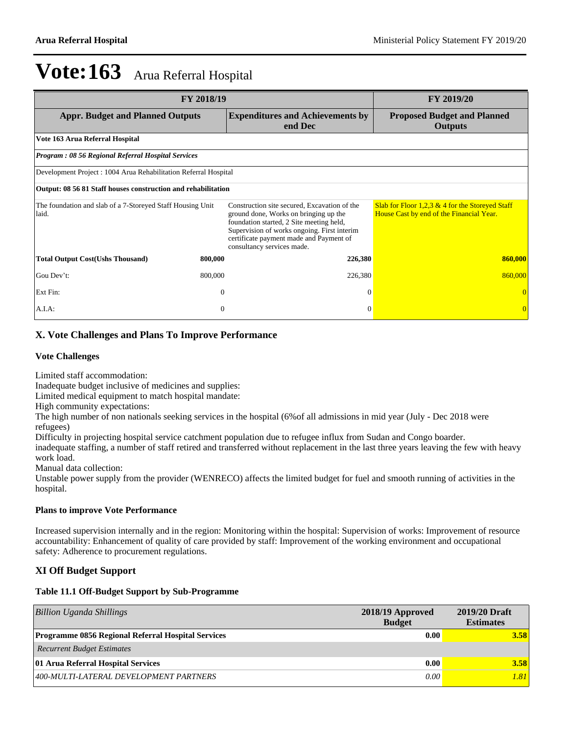| <b>FY 2018/19</b>                                                   | <b>FY 2019/20</b> |                                                                                                                                                                                                                                                           |                                                                                               |  |  |  |  |
|---------------------------------------------------------------------|-------------------|-----------------------------------------------------------------------------------------------------------------------------------------------------------------------------------------------------------------------------------------------------------|-----------------------------------------------------------------------------------------------|--|--|--|--|
| <b>Appr. Budget and Planned Outputs</b>                             |                   | <b>Expenditures and Achievements by</b><br>end Dec                                                                                                                                                                                                        | <b>Proposed Budget and Planned</b><br><b>Outputs</b>                                          |  |  |  |  |
| Vote 163 Arua Referral Hospital                                     |                   |                                                                                                                                                                                                                                                           |                                                                                               |  |  |  |  |
| <b>Program: 08 56 Regional Referral Hospital Services</b>           |                   |                                                                                                                                                                                                                                                           |                                                                                               |  |  |  |  |
| Development Project : 1004 Arua Rehabilitation Referral Hospital    |                   |                                                                                                                                                                                                                                                           |                                                                                               |  |  |  |  |
| Output: 08 56 81 Staff houses construction and rehabilitation       |                   |                                                                                                                                                                                                                                                           |                                                                                               |  |  |  |  |
| The foundation and slab of a 7-Storeyed Staff Housing Unit<br>laid. |                   | Construction site secured, Excavation of the<br>ground done, Works on bringing up the<br>foundation started, 2 Site meeting held,<br>Supervision of works ongoing. First interim<br>certificate payment made and Payment of<br>consultancy services made. | Slab for Floor 1,2,3 $&$ 4 for the Storeyed Staff<br>House Cast by end of the Financial Year. |  |  |  |  |
| <b>Total Output Cost (Ushs Thousand)</b>                            | 800,000           | 226,380                                                                                                                                                                                                                                                   | 860,000                                                                                       |  |  |  |  |
| Gou Dev't:                                                          | 800,000           | 226,380                                                                                                                                                                                                                                                   | 860,000                                                                                       |  |  |  |  |
| Ext Fin:                                                            | $\overline{0}$    | $\Omega$                                                                                                                                                                                                                                                  |                                                                                               |  |  |  |  |
| A.I.A:                                                              | $\boldsymbol{0}$  | $\Omega$                                                                                                                                                                                                                                                  | $\overline{0}$                                                                                |  |  |  |  |

### **X. Vote Challenges and Plans To Improve Performance**

#### **Vote Challenges**

Limited staff accommodation:

Inadequate budget inclusive of medicines and supplies:

Limited medical equipment to match hospital mandate:

High community expectations:

The high number of non nationals seeking services in the hospital (6%of all admissions in mid year (July - Dec 2018 were refugees)

Difficulty in projecting hospital service catchment population due to refugee influx from Sudan and Congo boarder.

inadequate staffing, a number of staff retired and transferred without replacement in the last three years leaving the few with heavy work load.

Manual data collection:

Unstable power supply from the provider (WENRECO) affects the limited budget for fuel and smooth running of activities in the hospital.

#### **Plans to improve Vote Performance**

Increased supervision internally and in the region: Monitoring within the hospital: Supervision of works: Improvement of resource accountability: Enhancement of quality of care provided by staff: Improvement of the working environment and occupational safety: Adherence to procurement regulations.

### **XI Off Budget Support**

#### **Table 11.1 Off-Budget Support by Sub-Programme**

| Billion Uganda Shillings                                  | 2018/19 Approved<br><b>Budget</b> | 2019/20 Draft<br><b>Estimates</b> |
|-----------------------------------------------------------|-----------------------------------|-----------------------------------|
| <b>Programme 0856 Regional Referral Hospital Services</b> | 0.00                              | 3.58                              |
| <b>Recurrent Budget Estimates</b>                         |                                   |                                   |
| 01 Arua Referral Hospital Services                        | 0.00                              | 3.58                              |
| 400-MULTI-LATERAL DEVELOPMENT PARTNERS                    | 0.00                              | 1.81                              |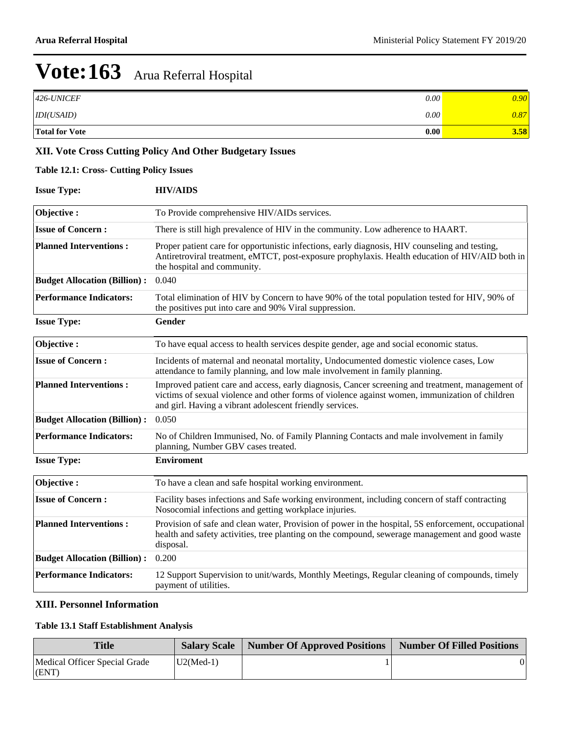| 426-UNICEF            | 0.00 | 9.90 |
|-----------------------|------|------|
| IDI(USAID)            | 0.00 | 0.87 |
| <b>Total for Vote</b> | 0.00 | 3.58 |

## **XII. Vote Cross Cutting Policy And Other Budgetary Issues**

### **Table 12.1: Cross- Cutting Policy Issues**

| <b>Issue Type:</b>                  | <b>HIV/AIDS</b>                                                                                                                                                                                                                                                |
|-------------------------------------|----------------------------------------------------------------------------------------------------------------------------------------------------------------------------------------------------------------------------------------------------------------|
| Objective:                          | To Provide comprehensive HIV/AIDs services.                                                                                                                                                                                                                    |
| <b>Issue of Concern:</b>            | There is still high prevalence of HIV in the community. Low adherence to HAART.                                                                                                                                                                                |
| <b>Planned Interventions:</b>       | Proper patient care for opportunistic infections, early diagnosis, HIV counseling and testing,<br>Antiretroviral treatment, eMTCT, post-exposure prophylaxis. Health education of HIV/AID both in<br>the hospital and community.                               |
| <b>Budget Allocation (Billion):</b> | 0.040                                                                                                                                                                                                                                                          |
| <b>Performance Indicators:</b>      | Total elimination of HIV by Concern to have 90% of the total population tested for HIV, 90% of<br>the positives put into care and 90% Viral suppression.                                                                                                       |
| <b>Issue Type:</b>                  | <b>Gender</b>                                                                                                                                                                                                                                                  |
| Objective:                          | To have equal access to health services despite gender, age and social economic status.                                                                                                                                                                        |
| <b>Issue of Concern:</b>            | Incidents of maternal and neonatal mortality, Undocumented domestic violence cases, Low<br>attendance to family planning, and low male involvement in family planning.                                                                                         |
| <b>Planned Interventions:</b>       | Improved patient care and access, early diagnosis, Cancer screening and treatment, management of<br>victims of sexual violence and other forms of violence against women, immunization of children<br>and girl. Having a vibrant adolescent friendly services. |
| <b>Budget Allocation (Billion):</b> | 0.050                                                                                                                                                                                                                                                          |
| <b>Performance Indicators:</b>      | No of Children Immunised, No. of Family Planning Contacts and male involvement in family<br>planning, Number GBV cases treated.                                                                                                                                |
| <b>Issue Type:</b>                  | <b>Enviroment</b>                                                                                                                                                                                                                                              |
| Objective:                          | To have a clean and safe hospital working environment.                                                                                                                                                                                                         |
| <b>Issue of Concern:</b>            | Facility bases infections and Safe working environment, including concern of staff contracting<br>Nosocomial infections and getting workplace injuries.                                                                                                        |
| <b>Planned Interventions:</b>       | Provision of safe and clean water, Provision of power in the hospital, 5S enforcement, occupational<br>health and safety activities, tree planting on the compound, sewerage management and good waste<br>disposal.                                            |
| <b>Budget Allocation (Billion):</b> | 0.200                                                                                                                                                                                                                                                          |
| <b>Performance Indicators:</b>      | 12 Support Supervision to unit/wards, Monthly Meetings, Regular cleaning of compounds, timely<br>payment of utilities.                                                                                                                                         |

### **XIII. Personnel Information**

### **Table 13.1 Staff Establishment Analysis**

| Title                                  |             | <b>Salary Scale   Number Of Approved Positions  </b> | Number Of Filled Positions |
|----------------------------------------|-------------|------------------------------------------------------|----------------------------|
| Medical Officer Special Grade<br>(ENT) | $U2(Med-1)$ |                                                      |                            |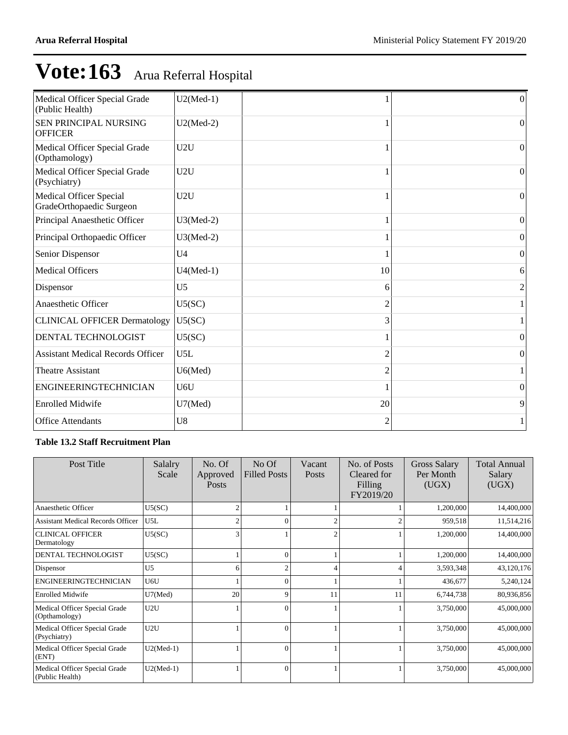| Medical Officer Special Grade<br>(Public Health)           | $U2(Med-1)$    |    | $\mathbf{0}$   |
|------------------------------------------------------------|----------------|----|----------------|
| SEN PRINCIPAL NURSING<br><b>OFFICER</b>                    | $U2(Med-2)$    |    | $\overline{0}$ |
| Medical Officer Special Grade<br>(Opthamology)             | U2U            |    | $\vert$ 0      |
| Medical Officer Special Grade<br>(Psychiatry)              | U2U            |    | $\Omega$       |
| <b>Medical Officer Special</b><br>GradeOrthopaedic Surgeon | U2U            |    | $\theta$       |
| Principal Anaesthetic Officer                              | $U3(Med-2)$    |    | $\Omega$       |
| Principal Orthopaedic Officer                              | $U3(Med-2)$    |    | $\theta$       |
| Senior Dispensor                                           | U <sub>4</sub> |    | $\Omega$       |
| <b>Medical Officers</b>                                    | $U4(Med-1)$    | 10 | 6              |
| Dispensor                                                  | U <sub>5</sub> | 6  | 2              |
| Anaesthetic Officer                                        | U5(SC)         |    |                |
| <b>CLINICAL OFFICER Dermatology</b>                        | U5(SC)         | 3  |                |
| DENTAL TECHNOLOGIST                                        | U5(SC)         |    | $\Omega$       |
| <b>Assistant Medical Records Officer</b>                   | U5L            |    | $\overline{0}$ |
| <b>Theatre Assistant</b>                                   | U6(Med)        |    | 1              |
| <b>ENGINEERINGTECHNICIAN</b>                               | U6U            |    | $\theta$       |
| <b>Enrolled Midwife</b>                                    | U7(Med)        | 20 | 9              |
| <b>Office Attendants</b>                                   | U8             | 2  |                |
|                                                            |                |    |                |

### **Table 13.2 Staff Recruitment Plan**

| Post Title                                       | Salalry<br>Scale | No. Of<br>Approved<br><b>Posts</b> | $No$ Of<br><b>Filled Posts</b> | Vacant<br><b>Posts</b> | No. of Posts<br>Cleared for<br>Filling<br>FY2019/20 | <b>Gross Salary</b><br>Per Month<br>(UGX) | <b>Total Annual</b><br>Salary<br>(UGX) |
|--------------------------------------------------|------------------|------------------------------------|--------------------------------|------------------------|-----------------------------------------------------|-------------------------------------------|----------------------------------------|
| Anaesthetic Officer                              | U5(SC)           | $\overline{2}$                     |                                |                        |                                                     | 1,200,000                                 | 14,400,000                             |
| <b>Assistant Medical Records Officer</b>         | U5L              | $\overline{c}$                     | $\Omega$                       |                        |                                                     | 959,518                                   | 11,514,216                             |
| <b>CLINICAL OFFICER</b><br>Dermatology           | U5(SC)           | 3                                  |                                | 2                      |                                                     | 1,200,000                                 | 14,400,000                             |
| DENTAL TECHNOLOGIST                              | U5(SC)           |                                    | $\Omega$                       |                        |                                                     | 1,200,000                                 | 14,400,000                             |
| Dispensor                                        | U <sub>5</sub>   | 6                                  | $\overline{c}$                 |                        |                                                     | 3,593,348                                 | 43,120,176                             |
| <b>ENGINEERINGTECHNICIAN</b>                     | U6U              |                                    | $\Omega$                       |                        |                                                     | 436,677                                   | 5,240,124                              |
| <b>Enrolled Midwife</b>                          | U7(Med)          | 20                                 | 9                              | 11                     | 11                                                  | 6,744,738                                 | 80,936,856                             |
| Medical Officer Special Grade<br>(Opthamology)   | U2U              |                                    | $\Omega$                       |                        |                                                     | 3,750,000                                 | 45,000,000                             |
| Medical Officer Special Grade<br>(Psychiatry)    | U2U              |                                    | $\Omega$                       |                        |                                                     | 3,750,000                                 | 45,000,000                             |
| Medical Officer Special Grade<br>(ENT)           | $U2(Med-1)$      |                                    | $\Omega$                       |                        |                                                     | 3,750,000                                 | 45,000,000                             |
| Medical Officer Special Grade<br>(Public Health) | $U2(Med-1)$      |                                    | $\Omega$                       |                        |                                                     | 3,750,000                                 | 45,000,000                             |